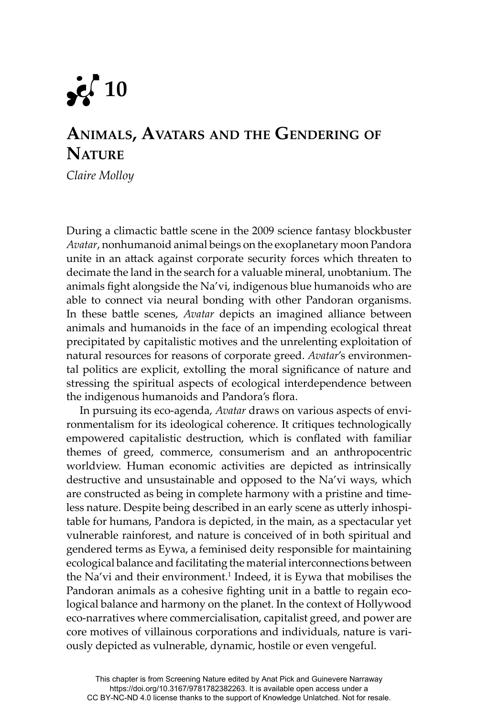## •**<sup>10</sup>**

## **Animals, Avatars and the Gendering of Nature**

*Claire Molloy*

During a climactic battle scene in the 2009 science fantasy blockbuster *Avatar*, nonhumanoid animal beings on the exoplanetary moon Pandora unite in an attack against corporate security forces which threaten to decimate the land in the search for a valuable mineral, unobtanium. The animals fight alongside the Na'vi, indigenous blue humanoids who are able to connect via neural bonding with other Pandoran organisms. In these battle scenes, *Avatar* depicts an imagined alliance between animals and humanoids in the face of an impending ecological threat precipitated by capitalistic motives and the unrelenting exploitation of natural resources for reasons of corporate greed. *Avatar*'s environmental politics are explicit, extolling the moral significance of nature and stressing the spiritual aspects of ecological interdependence between the indigenous humanoids and Pandora's flora.

In pursuing its eco-agenda, *Avatar* draws on various aspects of environmentalism for its ideological coherence. It critiques technologically empowered capitalistic destruction, which is conflated with familiar themes of greed, commerce, consumerism and an anthropocentric worldview. Human economic activities are depicted as intrinsically destructive and unsustainable and opposed to the Na'vi ways, which are constructed as being in complete harmony with a pristine and timeless nature. Despite being described in an early scene as utterly inhospitable for humans, Pandora is depicted, in the main, as a spectacular yet vulnerable rainforest, and nature is conceived of in both spiritual and gendered terms as Eywa, a feminised deity responsible for maintaining ecological balance and facilitating the material interconnections between the Na'vi and their environment.<sup>1</sup> Indeed, it is Eywa that mobilises the Pandoran animals as a cohesive fighting unit in a battle to regain ecological balance and harmony on the planet. In the context of Hollywood eco-narratives where commercialisation, capitalist greed, and power are core motives of villainous corporations and individuals, nature is variously depicted as vulnerable, dynamic, hostile or even vengeful.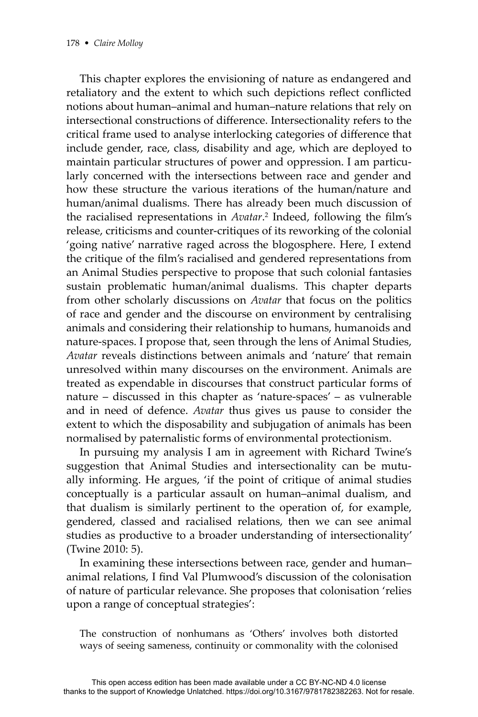This chapter explores the envisioning of nature as endangered and retaliatory and the extent to which such depictions reflect conflicted notions about human–animal and human–nature relations that rely on intersectional constructions of difference. Intersectionality refers to the critical frame used to analyse interlocking categories of difference that include gender, race, class, disability and age, which are deployed to maintain particular structures of power and oppression. I am particularly concerned with the intersections between race and gender and how these structure the various iterations of the human/nature and human/animal dualisms. There has already been much discussion of the racialised representations in *Avatar*. 2 Indeed, following the film's release, criticisms and counter-critiques of its reworking of the colonial 'going native' narrative raged across the blogosphere. Here, I extend the critique of the film's racialised and gendered representations from an Animal Studies perspective to propose that such colonial fantasies sustain problematic human/animal dualisms. This chapter departs from other scholarly discussions on *Avatar* that focus on the politics of race and gender and the discourse on environment by centralising animals and considering their relationship to humans, humanoids and nature-spaces. I propose that, seen through the lens of Animal Studies, *Avatar* reveals distinctions between animals and 'nature' that remain unresolved within many discourses on the environment. Animals are treated as expendable in discourses that construct particular forms of nature – discussed in this chapter as 'nature-spaces' – as vulnerable and in need of defence. *Avatar* thus gives us pause to consider the extent to which the disposability and subjugation of animals has been normalised by paternalistic forms of environmental protectionism.

In pursuing my analysis I am in agreement with Richard Twine's suggestion that Animal Studies and intersectionality can be mutually informing. He argues, 'if the point of critique of animal studies conceptually is a particular assault on human–animal dualism, and that dualism is similarly pertinent to the operation of, for example, gendered, classed and racialised relations, then we can see animal studies as productive to a broader understanding of intersectionality' (Twine 2010: 5).

In examining these intersections between race, gender and human– animal relations, I find Val Plumwood's discussion of the colonisation of nature of particular relevance. She proposes that colonisation 'relies upon a range of conceptual strategies':

The construction of nonhumans as 'Others' involves both distorted ways of seeing sameness, continuity or commonality with the colonised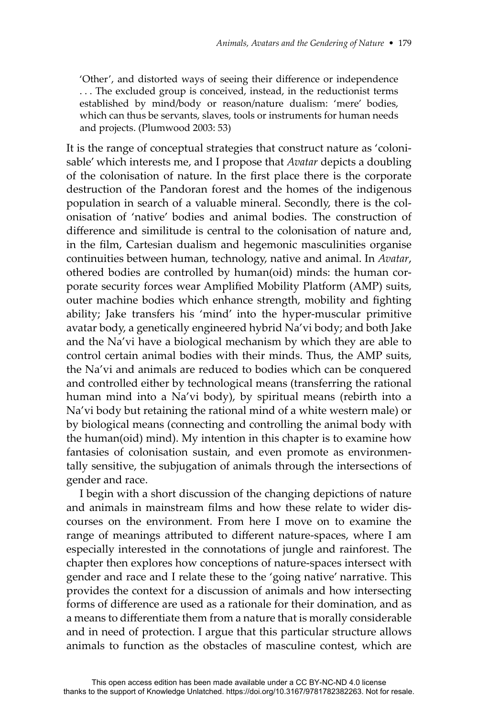'Other', and distorted ways of seeing their difference or independence ... The excluded group is conceived, instead, in the reductionist terms established by mind/body or reason/nature dualism: 'mere' bodies, which can thus be servants, slaves, tools or instruments for human needs and projects. (Plumwood 2003: 53)

It is the range of conceptual strategies that construct nature as 'colonisable' which interests me, and I propose that *Avatar* depicts a doubling of the colonisation of nature. In the first place there is the corporate destruction of the Pandoran forest and the homes of the indigenous population in search of a valuable mineral. Secondly, there is the colonisation of 'native' bodies and animal bodies. The construction of difference and similitude is central to the colonisation of nature and, in the film, Cartesian dualism and hegemonic masculinities organise continuities between human, technology, native and animal. In *Avatar*, othered bodies are controlled by human(oid) minds: the human corporate security forces wear Amplified Mobility Platform (AMP) suits, outer machine bodies which enhance strength, mobility and fighting ability; Jake transfers his 'mind' into the hyper-muscular primitive avatar body, a genetically engineered hybrid Na'vi body; and both Jake and the Na'vi have a biological mechanism by which they are able to control certain animal bodies with their minds. Thus, the AMP suits, the Na'vi and animals are reduced to bodies which can be conquered and controlled either by technological means (transferring the rational human mind into a Na'vi body), by spiritual means (rebirth into a Na'vi body but retaining the rational mind of a white western male) or by biological means (connecting and controlling the animal body with the human(oid) mind). My intention in this chapter is to examine how fantasies of colonisation sustain, and even promote as environmentally sensitive, the subjugation of animals through the intersections of gender and race.

I begin with a short discussion of the changing depictions of nature and animals in mainstream films and how these relate to wider discourses on the environment. From here I move on to examine the range of meanings attributed to different nature-spaces, where I am especially interested in the connotations of jungle and rainforest. The chapter then explores how conceptions of nature-spaces intersect with gender and race and I relate these to the 'going native' narrative. This provides the context for a discussion of animals and how intersecting forms of difference are used as a rationale for their domination, and as a means to differentiate them from a nature that is morally considerable and in need of protection. I argue that this particular structure allows animals to function as the obstacles of masculine contest, which are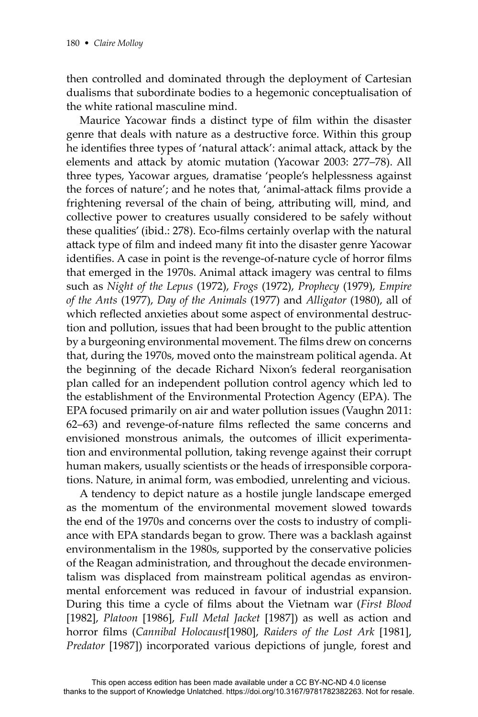then controlled and dominated through the deployment of Cartesian dualisms that subordinate bodies to a hegemonic conceptualisation of the white rational masculine mind.

Maurice Yacowar finds a distinct type of film within the disaster genre that deals with nature as a destructive force. Within this group he identifies three types of 'natural attack': animal attack, attack by the elements and attack by atomic mutation (Yacowar 2003: 277–78). All three types, Yacowar argues, dramatise 'people's helplessness against the forces of nature'; and he notes that, 'animal-attack films provide a frightening reversal of the chain of being, attributing will, mind, and collective power to creatures usually considered to be safely without these qualities' (ibid.: 278). Eco-films certainly overlap with the natural attack type of film and indeed many fit into the disaster genre Yacowar identifies. A case in point is the revenge-of-nature cycle of horror films that emerged in the 1970s. Animal attack imagery was central to films such as *Night of the Lepus* (1972), *Frogs* (1972), *Prophecy* (1979), *Empire of the Ants* (1977), *Day of the Animals* (1977) and *Alligator* (1980), all of which reflected anxieties about some aspect of environmental destruction and pollution, issues that had been brought to the public attention by a burgeoning environmental movement. The films drew on concerns that, during the 1970s, moved onto the mainstream political agenda. At the beginning of the decade Richard Nixon's federal reorganisation plan called for an independent pollution control agency which led to the establishment of the Environmental Protection Agency (EPA). The EPA focused primarily on air and water pollution issues (Vaughn 2011: 62–63) and revenge-of-nature films reflected the same concerns and envisioned monstrous animals, the outcomes of illicit experimentation and environmental pollution, taking revenge against their corrupt human makers, usually scientists or the heads of irresponsible corporations. Nature, in animal form, was embodied, unrelenting and vicious.

A tendency to depict nature as a hostile jungle landscape emerged as the momentum of the environmental movement slowed towards the end of the 1970s and concerns over the costs to industry of compliance with EPA standards began to grow. There was a backlash against environmentalism in the 1980s, supported by the conservative policies of the Reagan administration, and throughout the decade environmentalism was displaced from mainstream political agendas as environmental enforcement was reduced in favour of industrial expansion. During this time a cycle of films about the Vietnam war (*First Blood* [1982], *Platoon* [1986], *Full Metal Jacket* [1987]) as well as action and horror films (*Cannibal Holocaust*[1980], *Raiders of the Lost Ark* [1981], *Predator* [1987]) incorporated various depictions of jungle, forest and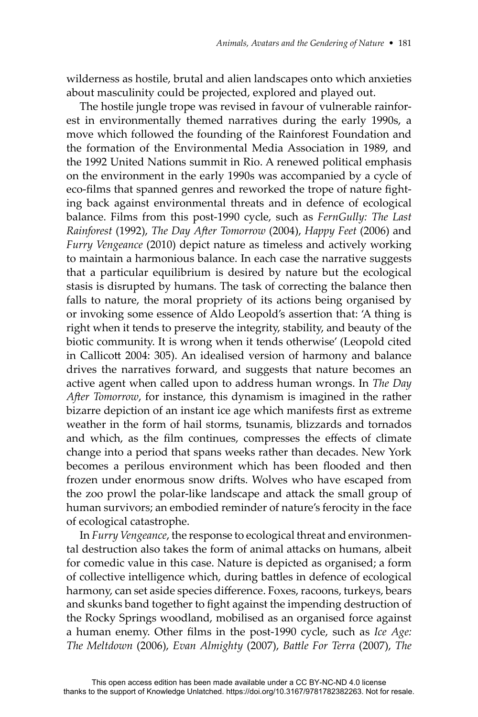wilderness as hostile, brutal and alien landscapes onto which anxieties about masculinity could be projected, explored and played out.

The hostile jungle trope was revised in favour of vulnerable rainforest in environmentally themed narratives during the early 1990s, a move which followed the founding of the Rainforest Foundation and the formation of the Environmental Media Association in 1989, and the 1992 United Nations summit in Rio. A renewed political emphasis on the environment in the early 1990s was accompanied by a cycle of eco-films that spanned genres and reworked the trope of nature fighting back against environmental threats and in defence of ecological balance. Films from this post-1990 cycle, such as *FernGully: The Last Rainforest* (1992), *The Day After Tomorrow* (2004), *Happy Feet* (2006) and *Furry Vengeance* (2010) depict nature as timeless and actively working to maintain a harmonious balance. In each case the narrative suggests that a particular equilibrium is desired by nature but the ecological stasis is disrupted by humans. The task of correcting the balance then falls to nature, the moral propriety of its actions being organised by or invoking some essence of Aldo Leopold's assertion that: 'A thing is right when it tends to preserve the integrity, stability, and beauty of the biotic community. It is wrong when it tends otherwise' (Leopold cited in Callicott 2004: 305). An idealised version of harmony and balance drives the narratives forward, and suggests that nature becomes an active agent when called upon to address human wrongs. In *The Day After Tomorrow*, for instance, this dynamism is imagined in the rather bizarre depiction of an instant ice age which manifests first as extreme weather in the form of hail storms, tsunamis, blizzards and tornados and which, as the film continues, compresses the effects of climate change into a period that spans weeks rather than decades. New York becomes a perilous environment which has been flooded and then frozen under enormous snow drifts. Wolves who have escaped from the zoo prowl the polar-like landscape and attack the small group of human survivors; an embodied reminder of nature's ferocity in the face of ecological catastrophe.

In *Furry Vengeance*, the response to ecological threat and environmental destruction also takes the form of animal attacks on humans, albeit for comedic value in this case. Nature is depicted as organised; a form of collective intelligence which, during battles in defence of ecological harmony, can set aside species difference. Foxes, racoons, turkeys, bears and skunks band together to fight against the impending destruction of the Rocky Springs woodland, mobilised as an organised force against a human enemy. Other films in the post-1990 cycle, such as *Ice Age: The Meltdown* (2006), *Evan Almighty* (2007), *Battle For Terra* (2007), *The*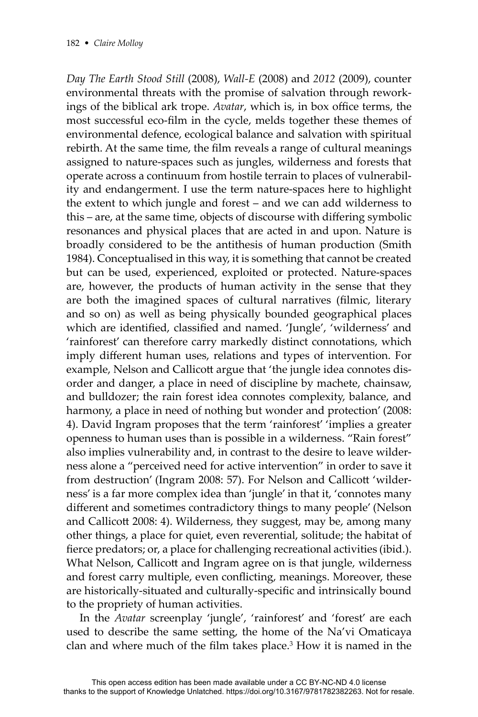*Day The Earth Stood Still* (2008), *Wall-E* (2008) and *2012* (2009), counter environmental threats with the promise of salvation through reworkings of the biblical ark trope. *Avatar*, which is, in box office terms, the most successful eco-film in the cycle, melds together these themes of environmental defence, ecological balance and salvation with spiritual rebirth. At the same time, the film reveals a range of cultural meanings assigned to nature-spaces such as jungles, wilderness and forests that operate across a continuum from hostile terrain to places of vulnerability and endangerment. I use the term nature-spaces here to highlight the extent to which jungle and forest – and we can add wilderness to this – are, at the same time, objects of discourse with differing symbolic resonances and physical places that are acted in and upon. Nature is broadly considered to be the antithesis of human production (Smith 1984). Conceptualised in this way, it is something that cannot be created but can be used, experienced, exploited or protected. Nature-spaces are, however, the products of human activity in the sense that they are both the imagined spaces of cultural narratives (filmic, literary and so on) as well as being physically bounded geographical places which are identified, classified and named. 'Jungle', 'wilderness' and 'rainforest' can therefore carry markedly distinct connotations, which imply different human uses, relations and types of intervention. For example, Nelson and Callicott argue that 'the jungle idea connotes disorder and danger, a place in need of discipline by machete, chainsaw, and bulldozer; the rain forest idea connotes complexity, balance, and harmony, a place in need of nothing but wonder and protection' (2008: 4). David Ingram proposes that the term 'rainforest' 'implies a greater openness to human uses than is possible in a wilderness. "Rain forest" also implies vulnerability and, in contrast to the desire to leave wilderness alone a "perceived need for active intervention" in order to save it from destruction' (Ingram 2008: 57). For Nelson and Callicott 'wilderness' is a far more complex idea than 'jungle' in that it, 'connotes many different and sometimes contradictory things to many people' (Nelson and Callicott 2008: 4). Wilderness, they suggest, may be, among many other things, a place for quiet, even reverential, solitude; the habitat of fierce predators; or, a place for challenging recreational activities (ibid.). What Nelson, Callicott and Ingram agree on is that jungle, wilderness and forest carry multiple, even conflicting, meanings. Moreover, these are historically-situated and culturally-specific and intrinsically bound to the propriety of human activities.

In the *Avatar* screenplay 'jungle', 'rainforest' and 'forest' are each used to describe the same setting, the home of the Na'vi Omaticaya clan and where much of the film takes place.<sup>3</sup> How it is named in the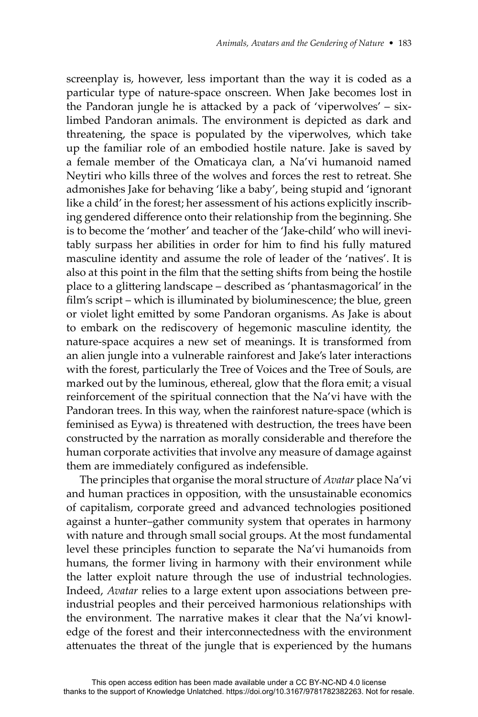screenplay is, however, less important than the way it is coded as a particular type of nature-space onscreen. When Jake becomes lost in the Pandoran jungle he is attacked by a pack of 'viperwolves' – sixlimbed Pandoran animals. The environment is depicted as dark and threatening, the space is populated by the viperwolves, which take up the familiar role of an embodied hostile nature. Jake is saved by a female member of the Omaticaya clan, a Na'vi humanoid named Neytiri who kills three of the wolves and forces the rest to retreat. She admonishes Jake for behaving 'like a baby', being stupid and 'ignorant like a child' in the forest; her assessment of his actions explicitly inscribing gendered difference onto their relationship from the beginning. She is to become the 'mother' and teacher of the 'Jake-child' who will inevitably surpass her abilities in order for him to find his fully matured masculine identity and assume the role of leader of the 'natives'. It is also at this point in the film that the setting shifts from being the hostile place to a glittering landscape – described as 'phantasmagorical' in the film's script – which is illuminated by bioluminescence; the blue, green or violet light emitted by some Pandoran organisms. As Jake is about to embark on the rediscovery of hegemonic masculine identity, the nature-space acquires a new set of meanings. It is transformed from an alien jungle into a vulnerable rainforest and Jake's later interactions with the forest, particularly the Tree of Voices and the Tree of Souls, are marked out by the luminous, ethereal, glow that the flora emit; a visual reinforcement of the spiritual connection that the Na'vi have with the Pandoran trees. In this way, when the rainforest nature-space (which is feminised as Eywa) is threatened with destruction, the trees have been constructed by the narration as morally considerable and therefore the human corporate activities that involve any measure of damage against them are immediately configured as indefensible.

The principles that organise the moral structure of *Avatar* place Na'vi and human practices in opposition, with the unsustainable economics of capitalism, corporate greed and advanced technologies positioned against a hunter–gather community system that operates in harmony with nature and through small social groups. At the most fundamental level these principles function to separate the Na'vi humanoids from humans, the former living in harmony with their environment while the latter exploit nature through the use of industrial technologies. Indeed, *Avatar* relies to a large extent upon associations between preindustrial peoples and their perceived harmonious relationships with the environment. The narrative makes it clear that the Na'vi knowledge of the forest and their interconnectedness with the environment attenuates the threat of the jungle that is experienced by the humans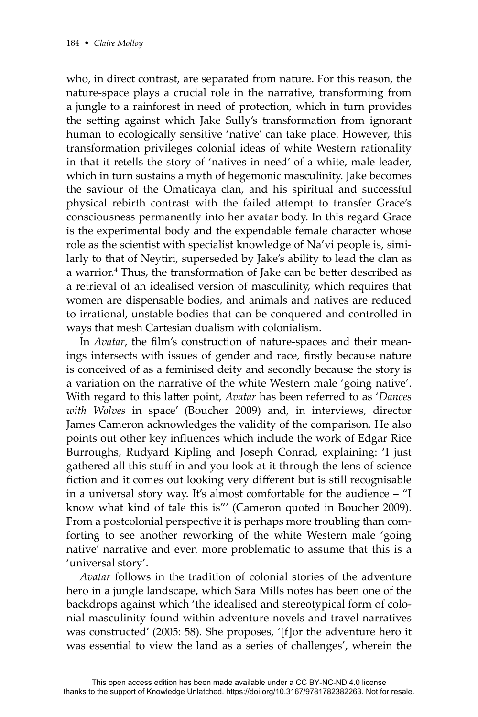who, in direct contrast, are separated from nature. For this reason, the nature-space plays a crucial role in the narrative, transforming from a jungle to a rainforest in need of protection, which in turn provides the setting against which Jake Sully's transformation from ignorant human to ecologically sensitive 'native' can take place. However, this transformation privileges colonial ideas of white Western rationality in that it retells the story of 'natives in need' of a white, male leader, which in turn sustains a myth of hegemonic masculinity. Jake becomes the saviour of the Omaticaya clan, and his spiritual and successful physical rebirth contrast with the failed attempt to transfer Grace's consciousness permanently into her avatar body. In this regard Grace is the experimental body and the expendable female character whose role as the scientist with specialist knowledge of Na'vi people is, similarly to that of Neytiri, superseded by Jake's ability to lead the clan as a warrior.<sup>4</sup> Thus, the transformation of Jake can be better described as a retrieval of an idealised version of masculinity, which requires that women are dispensable bodies, and animals and natives are reduced to irrational, unstable bodies that can be conquered and controlled in ways that mesh Cartesian dualism with colonialism.

In *Avatar*, the film's construction of nature-spaces and their meanings intersects with issues of gender and race, firstly because nature is conceived of as a feminised deity and secondly because the story is a variation on the narrative of the white Western male 'going native'. With regard to this latter point, *Avatar* has been referred to as '*Dances with Wolves* in space' (Boucher 2009) and, in interviews, director James Cameron acknowledges the validity of the comparison. He also points out other key influences which include the work of Edgar Rice Burroughs, Rudyard Kipling and Joseph Conrad, explaining: 'I just gathered all this stuff in and you look at it through the lens of science fiction and it comes out looking very different but is still recognisable in a universal story way. It's almost comfortable for the audience – "I know what kind of tale this is"' (Cameron quoted in Boucher 2009). From a postcolonial perspective it is perhaps more troubling than comforting to see another reworking of the white Western male 'going native' narrative and even more problematic to assume that this is a 'universal story'.

*Avatar* follows in the tradition of colonial stories of the adventure hero in a jungle landscape, which Sara Mills notes has been one of the backdrops against which 'the idealised and stereotypical form of colonial masculinity found within adventure novels and travel narratives was constructed' (2005: 58). She proposes, '[f]or the adventure hero it was essential to view the land as a series of challenges', wherein the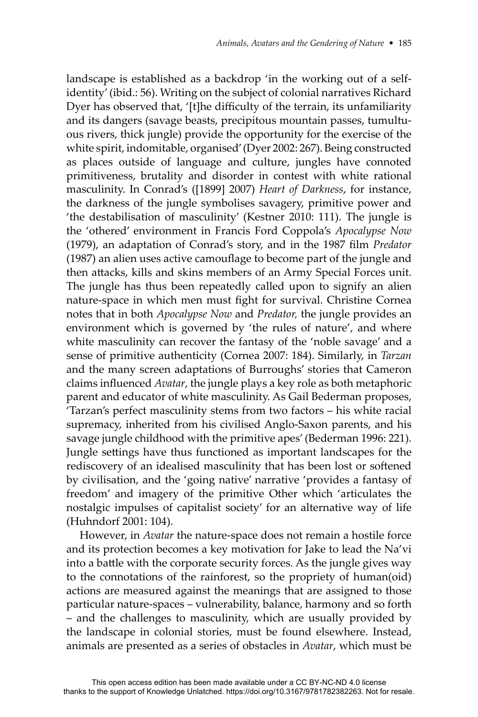landscape is established as a backdrop 'in the working out of a selfidentity' (ibid.: 56). Writing on the subject of colonial narratives Richard Dyer has observed that, '[t]he difficulty of the terrain, its unfamiliarity and its dangers (savage beasts, precipitous mountain passes, tumultuous rivers, thick jungle) provide the opportunity for the exercise of the white spirit, indomitable, organised' (Dyer 2002: 267). Being constructed as places outside of language and culture, jungles have connoted primitiveness, brutality and disorder in contest with white rational masculinity. In Conrad's ([1899] 2007) *Heart of Darkness*, for instance, the darkness of the jungle symbolises savagery, primitive power and 'the destabilisation of masculinity' (Kestner 2010: 111). The jungle is the 'othered' environment in Francis Ford Coppola's *Apocalypse Now* (1979), an adaptation of Conrad's story, and in the 1987 film *Predator*  (1987) an alien uses active camouflage to become part of the jungle and then attacks, kills and skins members of an Army Special Forces unit. The jungle has thus been repeatedly called upon to signify an alien nature-space in which men must fight for survival. Christine Cornea notes that in both *Apocalypse Now* and *Predator,* the jungle provides an environment which is governed by 'the rules of nature', and where white masculinity can recover the fantasy of the 'noble savage' and a sense of primitive authenticity (Cornea 2007: 184). Similarly, in *Tarzan* and the many screen adaptations of Burroughs' stories that Cameron claims influenced *Avatar*, the jungle plays a key role as both metaphoric parent and educator of white masculinity. As Gail Bederman proposes, 'Tarzan's perfect masculinity stems from two factors – his white racial supremacy, inherited from his civilised Anglo-Saxon parents, and his savage jungle childhood with the primitive apes' (Bederman 1996: 221). Jungle settings have thus functioned as important landscapes for the rediscovery of an idealised masculinity that has been lost or softened by civilisation, and the 'going native' narrative 'provides a fantasy of freedom' and imagery of the primitive Other which 'articulates the nostalgic impulses of capitalist society' for an alternative way of life (Huhndorf 2001: 104).

However, in *Avatar* the nature-space does not remain a hostile force and its protection becomes a key motivation for Jake to lead the Na'vi into a battle with the corporate security forces. As the jungle gives way to the connotations of the rainforest, so the propriety of human(oid) actions are measured against the meanings that are assigned to those particular nature-spaces – vulnerability, balance, harmony and so forth – and the challenges to masculinity, which are usually provided by the landscape in colonial stories, must be found elsewhere. Instead, animals are presented as a series of obstacles in *Avatar*, which must be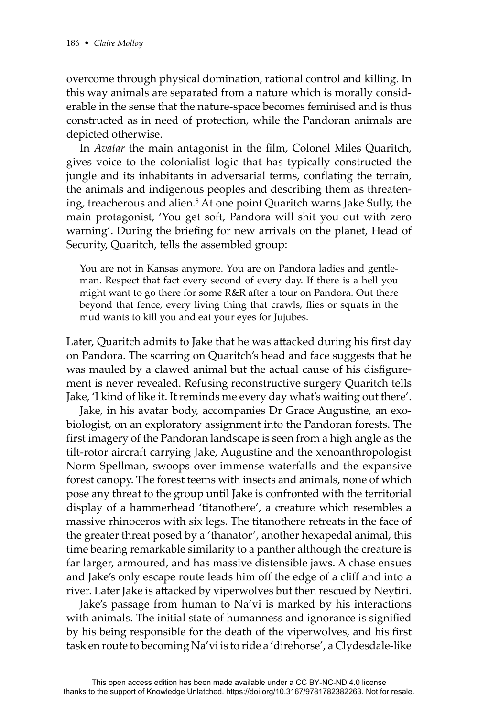overcome through physical domination, rational control and killing. In this way animals are separated from a nature which is morally considerable in the sense that the nature-space becomes feminised and is thus constructed as in need of protection, while the Pandoran animals are depicted otherwise.

In *Avatar* the main antagonist in the film, Colonel Miles Quaritch, gives voice to the colonialist logic that has typically constructed the jungle and its inhabitants in adversarial terms, conflating the terrain, the animals and indigenous peoples and describing them as threatening, treacherous and alien.<sup>5</sup> At one point Quaritch warns Jake Sully, the main protagonist, 'You get soft, Pandora will shit you out with zero warning'. During the briefing for new arrivals on the planet, Head of Security, Quaritch, tells the assembled group:

You are not in Kansas anymore. You are on Pandora ladies and gentleman. Respect that fact every second of every day. If there is a hell you might want to go there for some R&R after a tour on Pandora. Out there beyond that fence, every living thing that crawls, flies or squats in the mud wants to kill you and eat your eyes for Jujubes.

Later, Quaritch admits to Jake that he was attacked during his first day on Pandora. The scarring on Quaritch's head and face suggests that he was mauled by a clawed animal but the actual cause of his disfigurement is never revealed. Refusing reconstructive surgery Quaritch tells Jake, 'I kind of like it. It reminds me every day what's waiting out there'.

Jake, in his avatar body, accompanies Dr Grace Augustine, an exobiologist, on an exploratory assignment into the Pandoran forests. The first imagery of the Pandoran landscape is seen from a high angle as the tilt-rotor aircraft carrying Jake, Augustine and the xenoanthropologist Norm Spellman, swoops over immense waterfalls and the expansive forest canopy. The forest teems with insects and animals, none of which pose any threat to the group until Jake is confronted with the territorial display of a hammerhead 'titanothere', a creature which resembles a massive rhinoceros with six legs. The titanothere retreats in the face of the greater threat posed by a 'thanator', another hexapedal animal, this time bearing remarkable similarity to a panther although the creature is far larger, armoured, and has massive distensible jaws. A chase ensues and Jake's only escape route leads him off the edge of a cliff and into a river. Later Jake is attacked by viperwolves but then rescued by Neytiri.

Jake's passage from human to Na'vi is marked by his interactions with animals. The initial state of humanness and ignorance is signified by his being responsible for the death of the viperwolves, and his first task en route to becoming Na'vi is to ride a 'direhorse', a Clydesdale-like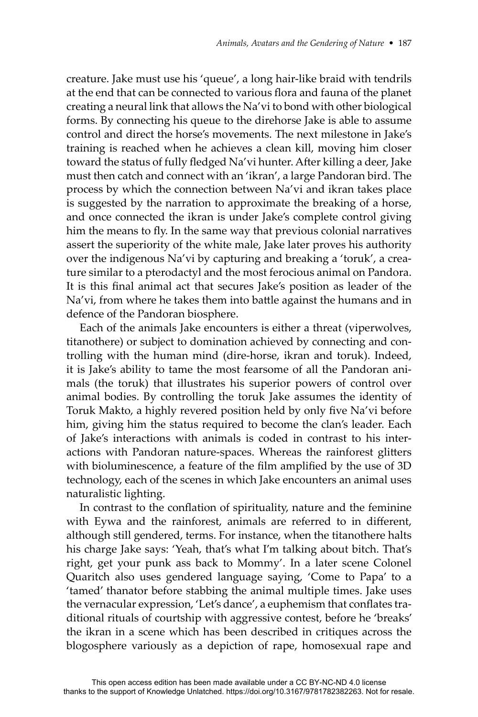creature. Jake must use his 'queue', a long hair-like braid with tendrils at the end that can be connected to various flora and fauna of the planet creating a neural link that allows the Na'vi to bond with other biological forms. By connecting his queue to the direhorse Jake is able to assume control and direct the horse's movements. The next milestone in Jake's training is reached when he achieves a clean kill, moving him closer toward the status of fully fledged Na'vi hunter. After killing a deer, Jake must then catch and connect with an 'ikran', a large Pandoran bird. The process by which the connection between Na'vi and ikran takes place is suggested by the narration to approximate the breaking of a horse, and once connected the ikran is under Jake's complete control giving him the means to fly. In the same way that previous colonial narratives assert the superiority of the white male, Jake later proves his authority over the indigenous Na'vi by capturing and breaking a 'toruk', a creature similar to a pterodactyl and the most ferocious animal on Pandora. It is this final animal act that secures Jake's position as leader of the Na'vi, from where he takes them into battle against the humans and in defence of the Pandoran biosphere.

Each of the animals Jake encounters is either a threat (viperwolves, titanothere) or subject to domination achieved by connecting and controlling with the human mind (dire-horse, ikran and toruk). Indeed, it is Jake's ability to tame the most fearsome of all the Pandoran animals (the toruk) that illustrates his superior powers of control over animal bodies. By controlling the toruk Jake assumes the identity of Toruk Makto, a highly revered position held by only five Na'vi before him, giving him the status required to become the clan's leader. Each of Jake's interactions with animals is coded in contrast to his interactions with Pandoran nature-spaces. Whereas the rainforest glitters with bioluminescence, a feature of the film amplified by the use of 3D technology, each of the scenes in which Jake encounters an animal uses naturalistic lighting.

In contrast to the conflation of spirituality, nature and the feminine with Eywa and the rainforest, animals are referred to in different, although still gendered, terms. For instance, when the titanothere halts his charge Jake says: 'Yeah, that's what I'm talking about bitch. That's right, get your punk ass back to Mommy'. In a later scene Colonel Quaritch also uses gendered language saying, 'Come to Papa' to a 'tamed' thanator before stabbing the animal multiple times. Jake uses the vernacular expression, 'Let's dance', a euphemism that conflates traditional rituals of courtship with aggressive contest, before he 'breaks' the ikran in a scene which has been described in critiques across the blogosphere variously as a depiction of rape, homosexual rape and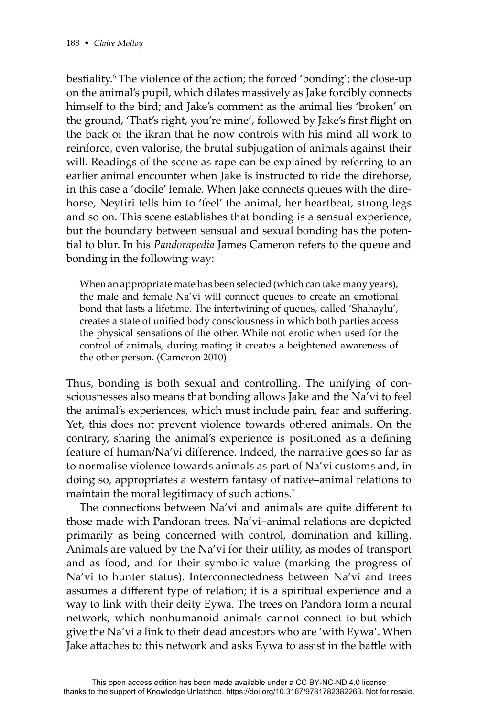bestiality.<sup>6</sup> The violence of the action; the forced 'bonding'; the close-up on the animal's pupil, which dilates massively as Jake forcibly connects himself to the bird; and Jake's comment as the animal lies 'broken' on the ground, 'That's right, you're mine', followed by Jake's first flight on the back of the ikran that he now controls with his mind all work to reinforce, even valorise, the brutal subjugation of animals against their will. Readings of the scene as rape can be explained by referring to an earlier animal encounter when Jake is instructed to ride the direhorse, in this case a 'docile' female. When Jake connects queues with the direhorse, Neytiri tells him to 'feel' the animal, her heartbeat, strong legs and so on. This scene establishes that bonding is a sensual experience, but the boundary between sensual and sexual bonding has the potential to blur. In his *Pandorapedia* James Cameron refers to the queue and bonding in the following way:

When an appropriate mate has been selected (which can take many years), the male and female Na'vi will connect queues to create an emotional bond that lasts a lifetime. The intertwining of queues, called 'Shahaylu', creates a state of unified body consciousness in which both parties access the physical sensations of the other. While not erotic when used for the control of animals, during mating it creates a heightened awareness of the other person. (Cameron 2010)

Thus, bonding is both sexual and controlling. The unifying of consciousnesses also means that bonding allows Jake and the Na'vi to feel the animal's experiences, which must include pain, fear and suffering. Yet, this does not prevent violence towards othered animals. On the contrary, sharing the animal's experience is positioned as a defining feature of human/Na'vi difference. Indeed, the narrative goes so far as to normalise violence towards animals as part of Na'vi customs and, in doing so, appropriates a western fantasy of native–animal relations to maintain the moral legitimacy of such actions.<sup>7</sup>

The connections between Na'vi and animals are quite different to those made with Pandoran trees. Na'vi–animal relations are depicted primarily as being concerned with control, domination and killing. Animals are valued by the Na'vi for their utility, as modes of transport and as food, and for their symbolic value (marking the progress of Na'vi to hunter status). Interconnectedness between Na'vi and trees assumes a different type of relation; it is a spiritual experience and a way to link with their deity Eywa. The trees on Pandora form a neural network, which nonhumanoid animals cannot connect to but which give the Na'vi a link to their dead ancestors who are 'with Eywa'. When Jake attaches to this network and asks Eywa to assist in the battle with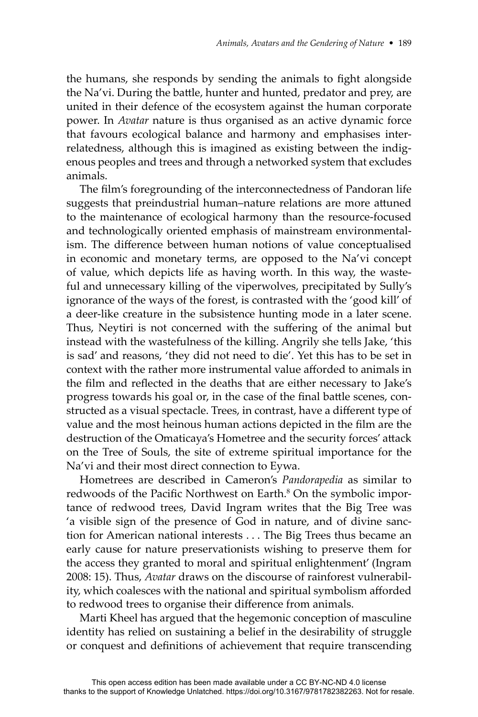the humans, she responds by sending the animals to fight alongside the Na'vi. During the battle, hunter and hunted, predator and prey, are united in their defence of the ecosystem against the human corporate power. In *Avatar* nature is thus organised as an active dynamic force that favours ecological balance and harmony and emphasises interrelatedness, although this is imagined as existing between the indigenous peoples and trees and through a networked system that excludes animals.

The film's foregrounding of the interconnectedness of Pandoran life suggests that preindustrial human–nature relations are more attuned to the maintenance of ecological harmony than the resource-focused and technologically oriented emphasis of mainstream environmentalism. The difference between human notions of value conceptualised in economic and monetary terms, are opposed to the Na'vi concept of value, which depicts life as having worth. In this way, the wasteful and unnecessary killing of the viperwolves, precipitated by Sully's ignorance of the ways of the forest, is contrasted with the 'good kill' of a deer-like creature in the subsistence hunting mode in a later scene. Thus, Neytiri is not concerned with the suffering of the animal but instead with the wastefulness of the killing. Angrily she tells Jake, 'this is sad' and reasons, 'they did not need to die'. Yet this has to be set in context with the rather more instrumental value afforded to animals in the film and reflected in the deaths that are either necessary to Jake's progress towards his goal or, in the case of the final battle scenes, constructed as a visual spectacle. Trees, in contrast, have a different type of value and the most heinous human actions depicted in the film are the destruction of the Omaticaya's Hometree and the security forces' attack on the Tree of Souls, the site of extreme spiritual importance for the Na'vi and their most direct connection to Eywa.

Hometrees are described in Cameron's *Pandorapedia* as similar to redwoods of the Pacific Northwest on Earth.<sup>8</sup> On the symbolic importance of redwood trees, David Ingram writes that the Big Tree was 'a visible sign of the presence of God in nature, and of divine sanction for American national interests . . . The Big Trees thus became an early cause for nature preservationists wishing to preserve them for the access they granted to moral and spiritual enlightenment' (Ingram 2008: 15). Thus, *Avatar* draws on the discourse of rainforest vulnerability, which coalesces with the national and spiritual symbolism afforded to redwood trees to organise their difference from animals.

Marti Kheel has argued that the hegemonic conception of masculine identity has relied on sustaining a belief in the desirability of struggle or conquest and definitions of achievement that require transcending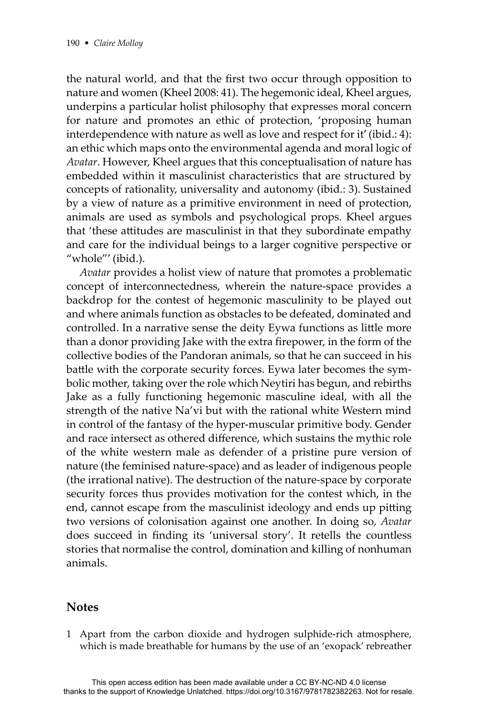the natural world, and that the first two occur through opposition to nature and women (Kheel 2008: 41). The hegemonic ideal, Kheel argues, underpins a particular holist philosophy that expresses moral concern for nature and promotes an ethic of protection, 'proposing human interdependence with nature as well as love and respect for it' (ibid.: 4): an ethic which maps onto the environmental agenda and moral logic of *Avatar*. However, Kheel argues that this conceptualisation of nature has embedded within it masculinist characteristics that are structured by concepts of rationality, universality and autonomy (ibid.: 3). Sustained by a view of nature as a primitive environment in need of protection, animals are used as symbols and psychological props. Kheel argues that 'these attitudes are masculinist in that they subordinate empathy and care for the individual beings to a larger cognitive perspective or "whole"' (ibid.).

*Avatar* provides a holist view of nature that promotes a problematic concept of interconnectedness, wherein the nature-space provides a backdrop for the contest of hegemonic masculinity to be played out and where animals function as obstacles to be defeated, dominated and controlled. In a narrative sense the deity Eywa functions as little more than a donor providing Jake with the extra firepower, in the form of the collective bodies of the Pandoran animals, so that he can succeed in his battle with the corporate security forces. Eywa later becomes the symbolic mother, taking over the role which Neytiri has begun, and rebirths Jake as a fully functioning hegemonic masculine ideal, with all the strength of the native Na'vi but with the rational white Western mind in control of the fantasy of the hyper-muscular primitive body. Gender and race intersect as othered difference, which sustains the mythic role of the white western male as defender of a pristine pure version of nature (the feminised nature-space) and as leader of indigenous people (the irrational native). The destruction of the nature-space by corporate security forces thus provides motivation for the contest which, in the end, cannot escape from the masculinist ideology and ends up pitting two versions of colonisation against one another. In doing so, *Avatar* does succeed in finding its 'universal story'. It retells the countless stories that normalise the control, domination and killing of nonhuman animals.

## **Notes**

1 Apart from the carbon dioxide and hydrogen sulphide-rich atmosphere, which is made breathable for humans by the use of an 'exopack' rebreather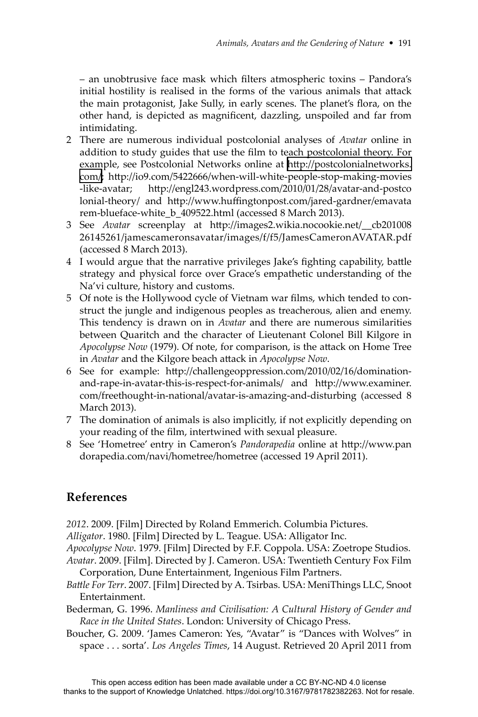– an unobtrusive face mask which filters atmospheric toxins – Pandora's initial hostility is realised in the forms of the various animals that attack the main protagonist, Jake Sully, in early scenes. The planet's flora, on the other hand, is depicted as magnificent, dazzling, unspoiled and far from intimidating.

- 2 There are numerous individual postcolonial analyses of *Avatar* online in addition to study guides that use the film to teach postcolonial theory. For example, see Postcolonial Networks online at [http://postcolonialnetworks.](http://postcolonialnetworks.com/) [com/](http://postcolonialnetworks.com/); http://io9.com/5422666/when-will-white-people-stop-making-movies -like-avatar; http://engl243.wordpress.com/2010/01/28/avatar-and-postco lonial-theory/ and http://www.huffingtonpost.com/jared-gardner/emavata rem-blueface-white\_b\_409522.html (accessed 8 March 2013).
- 3 See *Avatar* screenplay at http://images2.wikia.nocookie.net/\_\_cb201008 26145261/jamescameronsavatar/images/f/f5/JamesCameronAVATAR.pdf (accessed 8 March 2013).
- 4 I would argue that the narrative privileges Jake's fighting capability, battle strategy and physical force over Grace's empathetic understanding of the Na'vi culture, history and customs.
- 5 Of note is the Hollywood cycle of Vietnam war films, which tended to construct the jungle and indigenous peoples as treacherous, alien and enemy. This tendency is drawn on in *Avatar* and there are numerous similarities between Quaritch and the character of Lieutenant Colonel Bill Kilgore in *Apocolypse Now* (1979). Of note, for comparison, is the attack on Home Tree in *Avatar* and the Kilgore beach attack in *Apocolypse Now*.
- 6 See for example: http://challengeoppression.com/2010/02/16/dominationand-rape-in-avatar-this-is-respect-for-animals/ and http://www.examiner. com/freethought-in-national/avatar-is-amazing-and-disturbing (accessed 8 March 2013).
- 7 The domination of animals is also implicitly, if not explicitly depending on your reading of the film, intertwined with sexual pleasure.
- 8 See 'Hometree' entry in Cameron's *Pandorapedia* online at http://www.pan dorapedia.com/navi/hometree/hometree (accessed 19 April 2011).

## **References**

*2012*. 2009. [Film] Directed by Roland Emmerich. Columbia Pictures.

*Alligator*. 1980. [Film] Directed by L. Teague. USA: Alligator Inc.

*Apocolypse Now*. 1979. [Film] Directed by F.F. Coppola. USA: Zoetrope Studios. *Avatar*. 2009. [Film]. Directed by J. Cameron. USA: Twentieth Century Fox Film Corporation, Dune Entertainment, Ingenious Film Partners.

- *Battle For Terr*. 2007. [Film] Directed by A. Tsirbas. USA: MeniThings LLC, Snoot Entertainment.
- Bederman, G. 1996. *Manliness and Civilisation: A Cultural History of Gender and Race in the United States*. London: University of Chicago Press.
- Boucher, G. 2009. 'James Cameron: Yes, "Avatar" is "Dances with Wolves" in space . . . sorta'. *Los Angeles Times*, 14 August. Retrieved 20 April 2011 from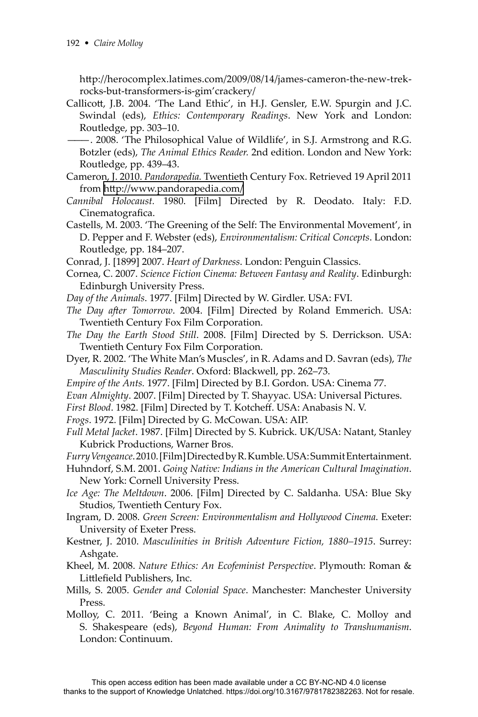http://herocomplex.latimes.com/2009/08/14/james-cameron-the-new-trekrocks-but-transformers-is-gim'crackery/

- Callicott, J.B. 2004. 'The Land Ethic', in H.J. Gensler, E.W. Spurgin and J.C. Swindal (eds), *Ethics: Contemporary Readings*. New York and London: Routledge, pp. 303–10.
- ———. 2008. 'The Philosophical Value of Wildlife', in S.J. Armstrong and R.G. Botzler (eds), *The Animal Ethics Reader.* 2nd edition. London and New York: Routledge, pp. 439–43.
- Cameron, J. 2010. *Pandorapedia.* Twentieth Century Fox. Retrieved 19 April 2011 from <http://www.pandorapedia.com/>
- *Cannibal Holocaust.* 1980. [Film] Directed by R. Deodato. Italy: F.D. Cinematografica.
- Castells, M. 2003. 'The Greening of the Self: The Environmental Movement', in D. Pepper and F. Webster (eds), *Environmentalism: Critical Concepts*. London: Routledge, pp. 184–207.
- Conrad, J. [1899] 2007. *Heart of Darkness*. London: Penguin Classics.
- Cornea, C. 2007. *Science Fiction Cinema: Between Fantasy and Reality*. Edinburgh: Edinburgh University Press.
- *Day of the Animals*. 1977. [Film] Directed by W. Girdler. USA: FVI.
- *The Day after Tomorrow*. 2004. [Film] Directed by Roland Emmerich. USA: Twentieth Century Fox Film Corporation.
- *The Day the Earth Stood Still*. 2008. [Film] Directed by S. Derrickson. USA: Twentieth Century Fox Film Corporation.
- Dyer, R. 2002. 'The White Man's Muscles', in R. Adams and D. Savran (eds), *The Masculinity Studies Reader*. Oxford: Blackwell, pp. 262–73.
- *Empire of the Ants.* 1977. [Film] Directed by B.I. Gordon. USA: Cinema 77.
- *Evan Almighty*. 2007. [Film] Directed by T. Shayyac. USA: Universal Pictures.
- *First Blood*. 1982. [Film] Directed by T. Kotcheff. USA: Anabasis N. V.
- *Frogs*. 1972. [Film] Directed by G. McCowan. USA: AIP.
- *Full Metal Jacket*. 1987. [Film] Directed by S. Kubrick. UK/USA: Natant, Stanley Kubrick Productions, Warner Bros.
- *Furry Vengeance*. 2010. [Film] Directed by R. Kumble. USA: Summit Entertainment.
- Huhndorf, S.M. 2001. *Going Native: Indians in the American Cultural Imagination*. New York: Cornell University Press.
- *Ice Age: The Meltdown*. 2006. [Film] Directed by C. Saldanha. USA: Blue Sky Studios, Twentieth Century Fox.
- Ingram, D. 2008. *Green Screen: Environmentalism and Hollywood Cinema*. Exeter: University of Exeter Press.
- Kestner, J. 2010. *Masculinities in British Adventure Fiction, 1880–1915*. Surrey: Ashgate.
- Kheel, M. 2008. *Nature Ethics: An Ecofeminist Perspective*. Plymouth: Roman & Littlefield Publishers, Inc.
- Mills, S. 2005. *Gender and Colonial Space*. Manchester: Manchester University Press.
- Molloy, C. 2011. 'Being a Known Animal', in C. Blake, C. Molloy and S. Shakespeare (eds), *Beyond Human: From Animality to Transhumanism*. London: Continuum.